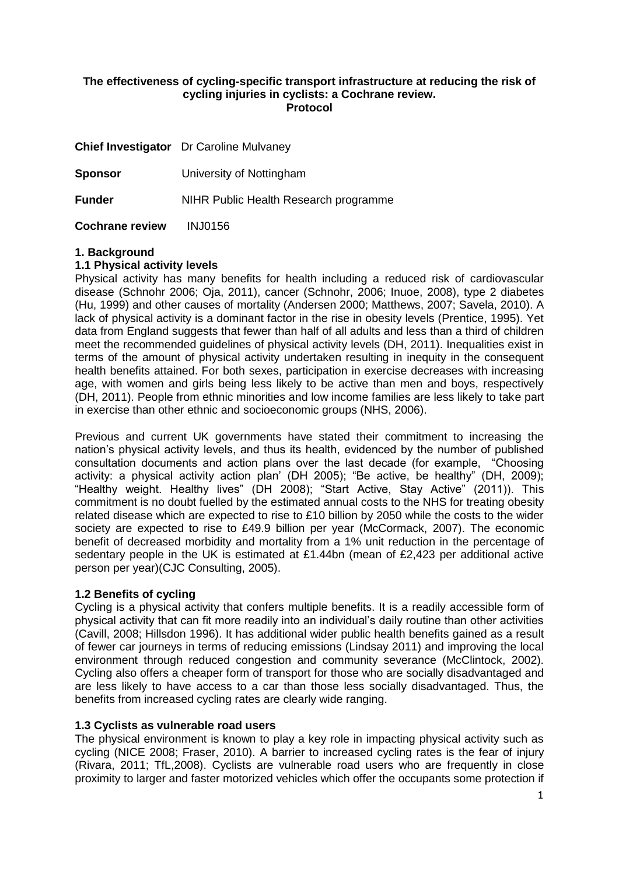# **The effectiveness of cycling-specific transport infrastructure at reducing the risk of cycling injuries in cyclists: a Cochrane review. Protocol**

|                        | <b>Chief Investigator</b> Dr Caroline Mulvaney |
|------------------------|------------------------------------------------|
| <b>Sponsor</b>         | University of Nottingham                       |
| <b>Funder</b>          | NIHR Public Health Research programme          |
| <b>Cochrane review</b> | INJ0156                                        |

# **1. Background**

#### **1.1 Physical activity levels**

Physical activity has many benefits for health including a reduced risk of cardiovascular disease (Schnohr 2006; Oja, 2011), cancer (Schnohr, 2006; Inuoe, 2008), type 2 diabetes (Hu, 1999) and other causes of mortality (Andersen 2000; Matthews, 2007; Savela, 2010). A lack of physical activity is a dominant factor in the rise in obesity levels (Prentice, 1995). Yet data from England suggests that fewer than half of all adults and less than a third of children meet the recommended guidelines of physical activity levels (DH, 2011). Inequalities exist in terms of the amount of physical activity undertaken resulting in inequity in the consequent health benefits attained. For both sexes, participation in exercise decreases with increasing age, with women and girls being less likely to be active than men and boys, respectively (DH, 2011). People from ethnic minorities and low income families are less likely to take part in exercise than other ethnic and socioeconomic groups (NHS, 2006).

Previous and current UK governments have stated their commitment to increasing the nation's physical activity levels, and thus its health, evidenced by the number of published consultation documents and action plans over the last decade (for example, "Choosing activity: a physical activity action plan' (DH 2005); "Be active, be healthy" (DH, 2009); "Healthy weight. Healthy lives" (DH 2008); "Start Active, Stay Active" (2011)). This commitment is no doubt fuelled by the estimated annual costs to the NHS for treating obesity related disease which are expected to rise to £10 billion by 2050 while the costs to the wider society are expected to rise to £49.9 billion per year (McCormack, 2007). The economic benefit of decreased morbidity and mortality from a 1% unit reduction in the percentage of sedentary people in the UK is estimated at £1.44bn (mean of £2,423 per additional active person per year)(CJC Consulting, 2005).

# **1.2 Benefits of cycling**

Cycling is a physical activity that confers multiple benefits. It is a readily accessible form of physical activity that can fit more readily into an individual's daily routine than other activities (Cavill, 2008; Hillsdon 1996). It has additional wider public health benefits gained as a result of fewer car journeys in terms of reducing emissions (Lindsay 2011) and improving the local environment through reduced congestion and community severance (McClintock, 2002). Cycling also offers a cheaper form of transport for those who are socially disadvantaged and are less likely to have access to a car than those less socially disadvantaged. Thus, the benefits from increased cycling rates are clearly wide ranging.

# **1.3 Cyclists as vulnerable road users**

The physical environment is known to play a key role in impacting physical activity such as cycling (NICE 2008; Fraser, 2010). A barrier to increased cycling rates is the fear of injury (Rivara, 2011; TfL,2008). Cyclists are vulnerable road users who are frequently in close proximity to larger and faster motorized vehicles which offer the occupants some protection if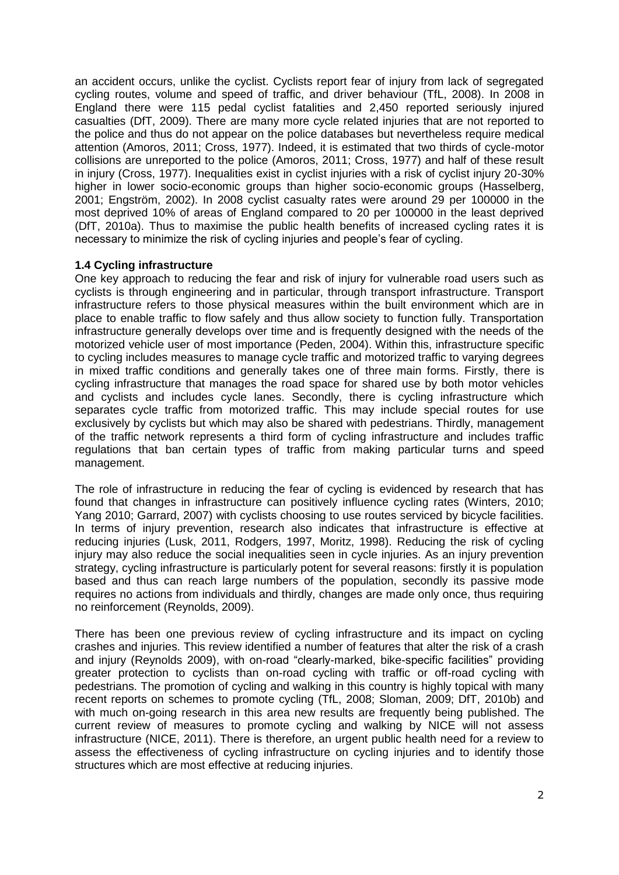an accident occurs, unlike the cyclist. Cyclists report fear of injury from lack of segregated cycling routes, volume and speed of traffic, and driver behaviour (TfL, 2008). In 2008 in England there were 115 pedal cyclist fatalities and 2,450 reported seriously injured casualties (DfT, 2009). There are many more cycle related injuries that are not reported to the police and thus do not appear on the police databases but nevertheless require medical attention (Amoros, 2011; Cross, 1977). Indeed, it is estimated that two thirds of cycle-motor collisions are unreported to the police (Amoros, 2011; Cross, 1977) and half of these result in injury (Cross, 1977). Inequalities exist in cyclist injuries with a risk of cyclist injury 20-30% higher in lower socio-economic groups than higher socio-economic groups (Hasselberg, 2001; Engström, 2002). In 2008 cyclist casualty rates were around 29 per 100000 in the most deprived 10% of areas of England compared to 20 per 100000 in the least deprived (DfT, 2010a). Thus to maximise the public health benefits of increased cycling rates it is necessary to minimize the risk of cycling injuries and people's fear of cycling.

# **1.4 Cycling infrastructure**

One key approach to reducing the fear and risk of injury for vulnerable road users such as cyclists is through engineering and in particular, through transport infrastructure. Transport infrastructure refers to those physical measures within the built environment which are in place to enable traffic to flow safely and thus allow society to function fully. Transportation infrastructure generally develops over time and is frequently designed with the needs of the motorized vehicle user of most importance (Peden, 2004). Within this, infrastructure specific to cycling includes measures to manage cycle traffic and motorized traffic to varying degrees in mixed traffic conditions and generally takes one of three main forms. Firstly, there is cycling infrastructure that manages the road space for shared use by both motor vehicles and cyclists and includes cycle lanes. Secondly, there is cycling infrastructure which separates cycle traffic from motorized traffic. This may include special routes for use exclusively by cyclists but which may also be shared with pedestrians. Thirdly, management of the traffic network represents a third form of cycling infrastructure and includes traffic regulations that ban certain types of traffic from making particular turns and speed management.

The role of infrastructure in reducing the fear of cycling is evidenced by research that has found that changes in infrastructure can positively influence cycling rates (Winters, 2010; Yang 2010; Garrard, 2007) with cyclists choosing to use routes serviced by bicycle facilities. In terms of injury prevention, research also indicates that infrastructure is effective at reducing injuries (Lusk, 2011, Rodgers, 1997, Moritz, 1998). Reducing the risk of cycling injury may also reduce the social inequalities seen in cycle injuries. As an injury prevention strategy, cycling infrastructure is particularly potent for several reasons: firstly it is population based and thus can reach large numbers of the population, secondly its passive mode requires no actions from individuals and thirdly, changes are made only once, thus requiring no reinforcement (Reynolds, 2009).

There has been one previous review of cycling infrastructure and its impact on cycling crashes and injuries. This review identified a number of features that alter the risk of a crash and injury (Reynolds 2009), with on-road "clearly-marked, bike-specific facilities" providing greater protection to cyclists than on-road cycling with traffic or off-road cycling with pedestrians. The promotion of cycling and walking in this country is highly topical with many recent reports on schemes to promote cycling (TfL, 2008; Sloman, 2009; DfT, 2010b) and with much on-going research in this area new results are frequently being published. The current review of measures to promote cycling and walking by NICE will not assess infrastructure (NICE, 2011). There is therefore, an urgent public health need for a review to assess the effectiveness of cycling infrastructure on cycling injuries and to identify those structures which are most effective at reducing injuries.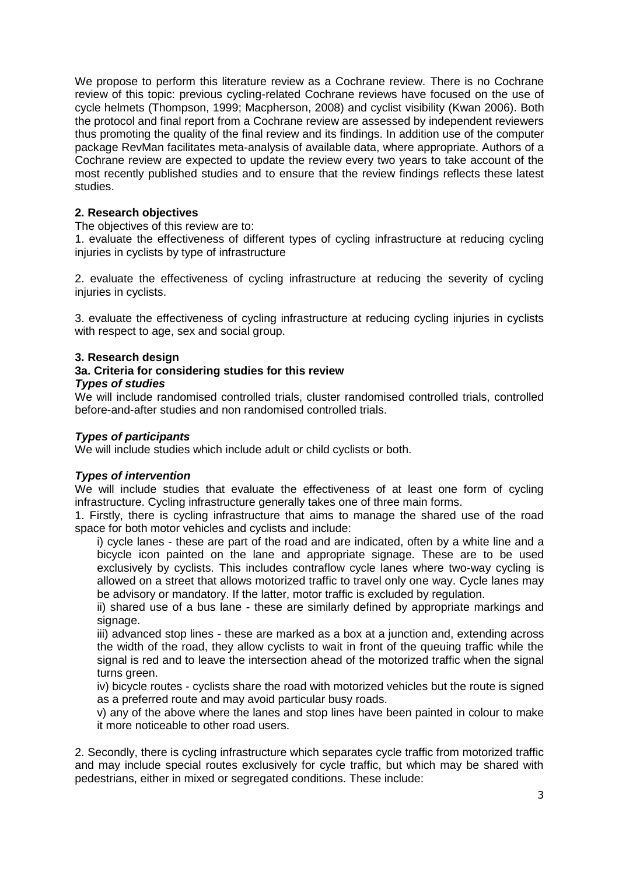We propose to perform this literature review as a Cochrane review. There is no Cochrane review of this topic: previous cycling-related Cochrane reviews have focused on the use of cycle helmets (Thompson, 1999; Macpherson, 2008) and cyclist visibility (Kwan 2006). Both the protocol and final report from a Cochrane review are assessed by independent reviewers thus promoting the quality of the final review and its findings. In addition use of the computer package RevMan facilitates meta-analysis of available data, where appropriate. Authors of a Cochrane review are expected to update the review every two years to take account of the most recently published studies and to ensure that the review findings reflects these latest studies.

# **2. Research objectives**

The objectives of this review are to:

1. evaluate the effectiveness of different types of cycling infrastructure at reducing cycling injuries in cyclists by type of infrastructure

2. evaluate the effectiveness of cycling infrastructure at reducing the severity of cycling injuries in cyclists.

3. evaluate the effectiveness of cycling infrastructure at reducing cycling injuries in cyclists with respect to age, sex and social group.

# **3. Research design**

#### **3a. Criteria for considering studies for this review** *Types of studies*

We will include randomised controlled trials, cluster randomised controlled trials, controlled before-and-after studies and non randomised controlled trials.

#### *Types of participants*

We will include studies which include adult or child cyclists or both.

# *Types of intervention*

We will include studies that evaluate the effectiveness of at least one form of cycling infrastructure. Cycling infrastructure generally takes one of three main forms.

1. Firstly, there is cycling infrastructure that aims to manage the shared use of the road space for both motor vehicles and cyclists and include:

i) cycle lanes - these are part of the road and are indicated, often by a white line and a bicycle icon painted on the lane and appropriate signage. These are to be used exclusively by cyclists. This includes contraflow cycle lanes where two-way cycling is allowed on a street that allows motorized traffic to travel only one way. Cycle lanes may be advisory or mandatory. If the latter, motor traffic is excluded by regulation.

ii) shared use of a bus lane - these are similarly defined by appropriate markings and signage.

iii) advanced stop lines - these are marked as a box at a junction and, extending across the width of the road, they allow cyclists to wait in front of the queuing traffic while the signal is red and to leave the intersection ahead of the motorized traffic when the signal turns green.

iv) bicycle routes - cyclists share the road with motorized vehicles but the route is signed as a preferred route and may avoid particular busy roads.

v) any of the above where the lanes and stop lines have been painted in colour to make it more noticeable to other road users.

2. Secondly, there is cycling infrastructure which separates cycle traffic from motorized traffic and may include special routes exclusively for cycle traffic, but which may be shared with pedestrians, either in mixed or segregated conditions. These include: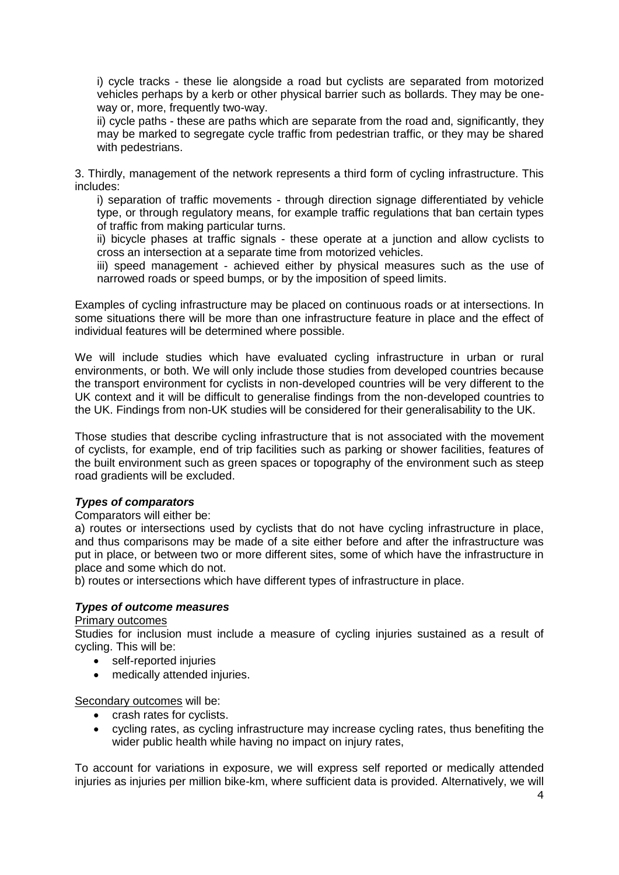i) cycle tracks - these lie alongside a road but cyclists are separated from motorized vehicles perhaps by a kerb or other physical barrier such as bollards. They may be oneway or, more, frequently two-way.

ii) cycle paths - these are paths which are separate from the road and, significantly, they may be marked to segregate cycle traffic from pedestrian traffic, or they may be shared with pedestrians.

3. Thirdly, management of the network represents a third form of cycling infrastructure. This includes:

i) separation of traffic movements - through direction signage differentiated by vehicle type, or through regulatory means, for example traffic regulations that ban certain types of traffic from making particular turns.

ii) bicycle phases at traffic signals - these operate at a junction and allow cyclists to cross an intersection at a separate time from motorized vehicles.

iii) speed management - achieved either by physical measures such as the use of narrowed roads or speed bumps, or by the imposition of speed limits.

Examples of cycling infrastructure may be placed on continuous roads or at intersections. In some situations there will be more than one infrastructure feature in place and the effect of individual features will be determined where possible.

We will include studies which have evaluated cycling infrastructure in urban or rural environments, or both. We will only include those studies from developed countries because the transport environment for cyclists in non-developed countries will be very different to the UK context and it will be difficult to generalise findings from the non-developed countries to the UK. Findings from non-UK studies will be considered for their generalisability to the UK.

Those studies that describe cycling infrastructure that is not associated with the movement of cyclists, for example, end of trip facilities such as parking or shower facilities, features of the built environment such as green spaces or topography of the environment such as steep road gradients will be excluded.

#### *Types of comparators*

Comparators will either be:

a) routes or intersections used by cyclists that do not have cycling infrastructure in place, and thus comparisons may be made of a site either before and after the infrastructure was put in place, or between two or more different sites, some of which have the infrastructure in place and some which do not.

b) routes or intersections which have different types of infrastructure in place.

#### *Types of outcome measures*

#### Primary outcomes

Studies for inclusion must include a measure of cycling injuries sustained as a result of cycling. This will be:

- self-reported injuries
- medically attended injuries.

Secondary outcomes will be:

- crash rates for cyclists.
- cycling rates, as cycling infrastructure may increase cycling rates, thus benefiting the wider public health while having no impact on injury rates,

To account for variations in exposure, we will express self reported or medically attended injuries as injuries per million bike-km, where sufficient data is provided. Alternatively, we will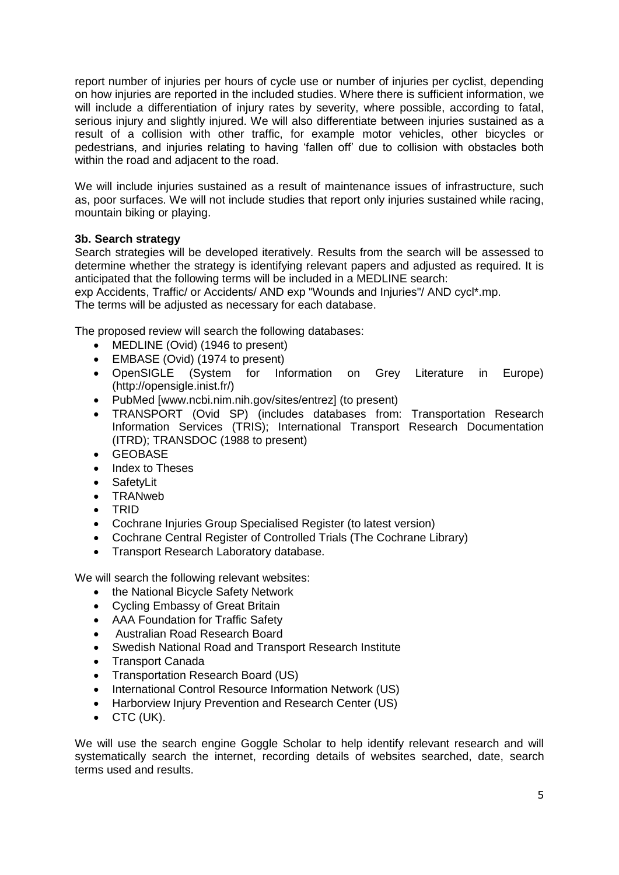report number of injuries per hours of cycle use or number of injuries per cyclist, depending on how injuries are reported in the included studies. Where there is sufficient information, we will include a differentiation of injury rates by severity, where possible, according to fatal, serious injury and slightly injured. We will also differentiate between injuries sustained as a result of a collision with other traffic, for example motor vehicles, other bicycles or pedestrians, and injuries relating to having 'fallen off' due to collision with obstacles both within the road and adjacent to the road.

We will include injuries sustained as a result of maintenance issues of infrastructure, such as, poor surfaces. We will not include studies that report only injuries sustained while racing, mountain biking or playing.

# **3b. Search strategy**

Search strategies will be developed iteratively. Results from the search will be assessed to determine whether the strategy is identifying relevant papers and adjusted as required. It is anticipated that the following terms will be included in a MEDLINE search:

exp Accidents, Traffic/ or Accidents/ AND exp "Wounds and Injuries"/ AND cycl\*.mp.

The terms will be adjusted as necessary for each database.

The proposed review will search the following databases:

- MEDLINE (Ovid) (1946 to present)
- EMBASE (Ovid) (1974 to present)
- OpenSIGLE (System for Information on Grey Literature in Europe) (http://opensigle.inist.fr/)
- PubMed [www.ncbi.nim.nih.gov/sites/entrez] (to present)
- TRANSPORT (Ovid SP) (includes databases from: Transportation Research Information Services (TRIS); International Transport Research Documentation (ITRD); TRANSDOC (1988 to present)
- GEOBASE
- Index to Theses
- SafetyLit
- TRANweb
- TRID
- Cochrane Injuries Group Specialised Register (to latest version)
- Cochrane Central Register of Controlled Trials (The Cochrane Library)
- Transport Research Laboratory database.

We will search the following relevant websites:

- the National Bicycle Safety Network
- Cycling Embassy of Great Britain
- AAA Foundation for Traffic Safety
- Australian Road Research Board
- Swedish National Road and Transport Research Institute
- Transport Canada
- Transportation Research Board (US)
- International Control Resource Information Network (US)
- Harborview Injury Prevention and Research Center (US)
- $\bullet$  CTC (UK).

We will use the search engine Goggle Scholar to help identify relevant research and will systematically search the internet, recording details of websites searched, date, search terms used and results.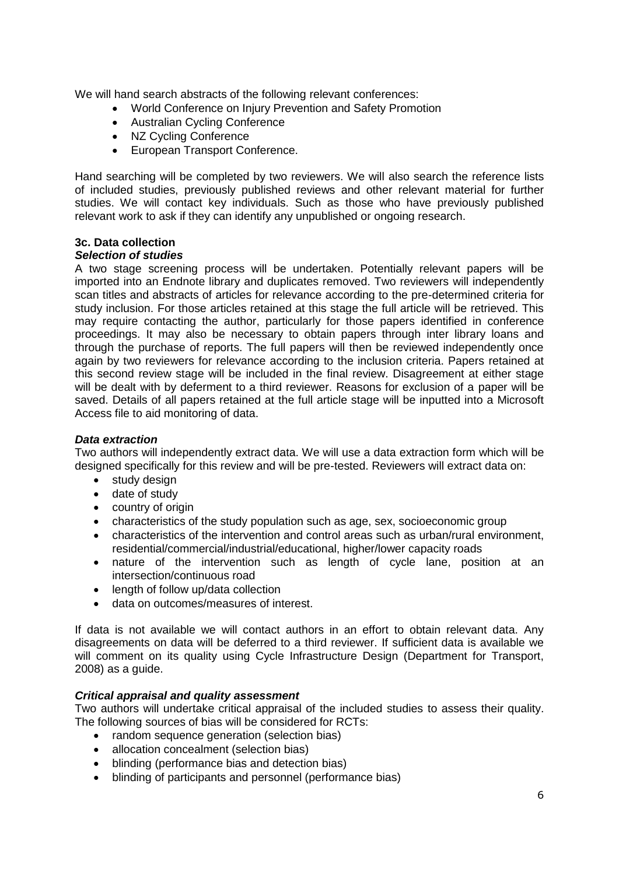We will hand search abstracts of the following relevant conferences:

- World Conference on Injury Prevention and Safety Promotion
- Australian Cycling Conference
- NZ Cycling Conference
- European Transport Conference.

Hand searching will be completed by two reviewers. We will also search the reference lists of included studies, previously published reviews and other relevant material for further studies. We will contact key individuals. Such as those who have previously published relevant work to ask if they can identify any unpublished or ongoing research.

# **3c. Data collection**

# *Selection of studies*

A two stage screening process will be undertaken. Potentially relevant papers will be imported into an Endnote library and duplicates removed. Two reviewers will independently scan titles and abstracts of articles for relevance according to the pre-determined criteria for study inclusion. For those articles retained at this stage the full article will be retrieved. This may require contacting the author, particularly for those papers identified in conference proceedings. It may also be necessary to obtain papers through inter library loans and through the purchase of reports. The full papers will then be reviewed independently once again by two reviewers for relevance according to the inclusion criteria. Papers retained at this second review stage will be included in the final review. Disagreement at either stage will be dealt with by deferment to a third reviewer. Reasons for exclusion of a paper will be saved. Details of all papers retained at the full article stage will be inputted into a Microsoft Access file to aid monitoring of data.

#### *Data extraction*

Two authors will independently extract data. We will use a data extraction form which will be designed specifically for this review and will be pre-tested. Reviewers will extract data on:

- study design
- date of study
- country of origin
- characteristics of the study population such as age, sex, socioeconomic group
- characteristics of the intervention and control areas such as urban/rural environment, residential/commercial/industrial/educational, higher/lower capacity roads
- nature of the intervention such as length of cycle lane, position at an intersection/continuous road
- length of follow up/data collection
- data on outcomes/measures of interest.

If data is not available we will contact authors in an effort to obtain relevant data. Any disagreements on data will be deferred to a third reviewer. If sufficient data is available we will comment on its quality using Cycle Infrastructure Design (Department for Transport, 2008) as a guide.

# *Critical appraisal and quality assessment*

Two authors will undertake critical appraisal of the included studies to assess their quality. The following sources of bias will be considered for RCTs:

- random sequence generation (selection bias)
- allocation concealment (selection bias)
- blinding (performance bias and detection bias)
- blinding of participants and personnel (performance bias)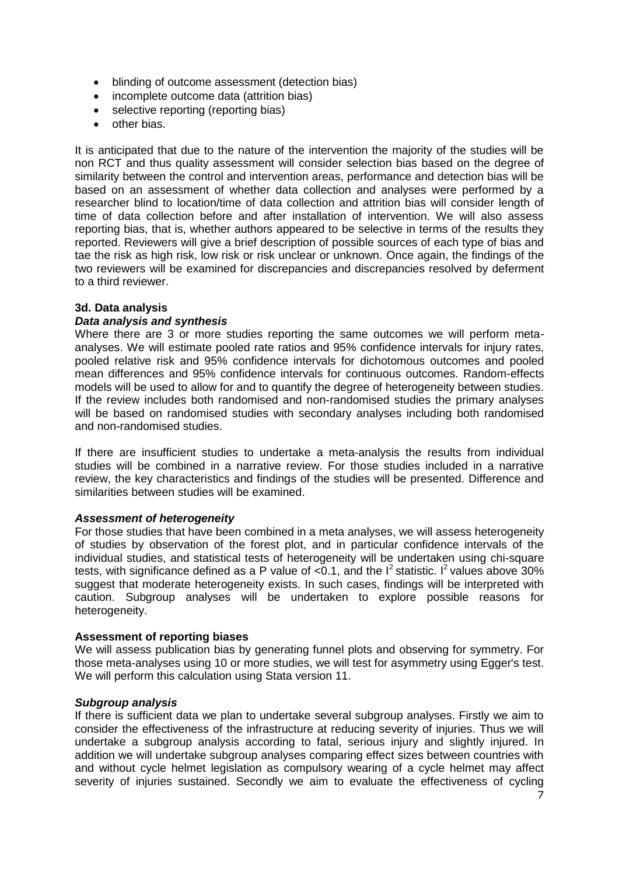- blinding of outcome assessment (detection bias)
- incomplete outcome data (attrition bias)
- selective reporting (reporting bias)
- **o**ther bias

It is anticipated that due to the nature of the intervention the majority of the studies will be non RCT and thus quality assessment will consider selection bias based on the degree of similarity between the control and intervention areas, performance and detection bias will be based on an assessment of whether data collection and analyses were performed by a researcher blind to location/time of data collection and attrition bias will consider length of time of data collection before and after installation of intervention. We will also assess reporting bias, that is, whether authors appeared to be selective in terms of the results they reported. Reviewers will give a brief description of possible sources of each type of bias and tae the risk as high risk, low risk or risk unclear or unknown. Once again, the findings of the two reviewers will be examined for discrepancies and discrepancies resolved by deferment to a third reviewer.

# **3d. Data analysis**

# *Data analysis and synthesis*

Where there are 3 or more studies reporting the same outcomes we will perform metaanalyses. We will estimate pooled rate ratios and 95% confidence intervals for injury rates, pooled relative risk and 95% confidence intervals for dichotomous outcomes and pooled mean differences and 95% confidence intervals for continuous outcomes. Random-effects models will be used to allow for and to quantify the degree of heterogeneity between studies. If the review includes both randomised and non-randomised studies the primary analyses will be based on randomised studies with secondary analyses including both randomised and non-randomised studies.

If there are insufficient studies to undertake a meta-analysis the results from individual studies will be combined in a narrative review. For those studies included in a narrative review, the key characteristics and findings of the studies will be presented. Difference and similarities between studies will be examined.

# *Assessment of heterogeneity*

For those studies that have been combined in a meta analyses, we will assess heterogeneity of studies by observation of the forest plot, and in particular confidence intervals of the individual studies, and statistical tests of heterogeneity will be undertaken using chi-square tests, with significance defined as a P value of <0.1, and the  $I^2$  statistic. I<sup>2</sup> values above 30% suggest that moderate heterogeneity exists. In such cases, findings will be interpreted with caution. Subgroup analyses will be undertaken to explore possible reasons for heterogeneity.

# **Assessment of reporting biases**

We will assess publication bias by generating funnel plots and observing for symmetry. For those meta-analyses using 10 or more studies, we will test for asymmetry using Egger's test. We will perform this calculation using Stata version 11.

# *Subgroup analysis*

If there is sufficient data we plan to undertake several subgroup analyses. Firstly we aim to consider the effectiveness of the infrastructure at reducing severity of injuries. Thus we will undertake a subgroup analysis according to fatal, serious injury and slightly injured. In addition we will undertake subgroup analyses comparing effect sizes between countries with and without cycle helmet legislation as compulsory wearing of a cycle helmet may affect severity of injuries sustained. Secondly we aim to evaluate the effectiveness of cycling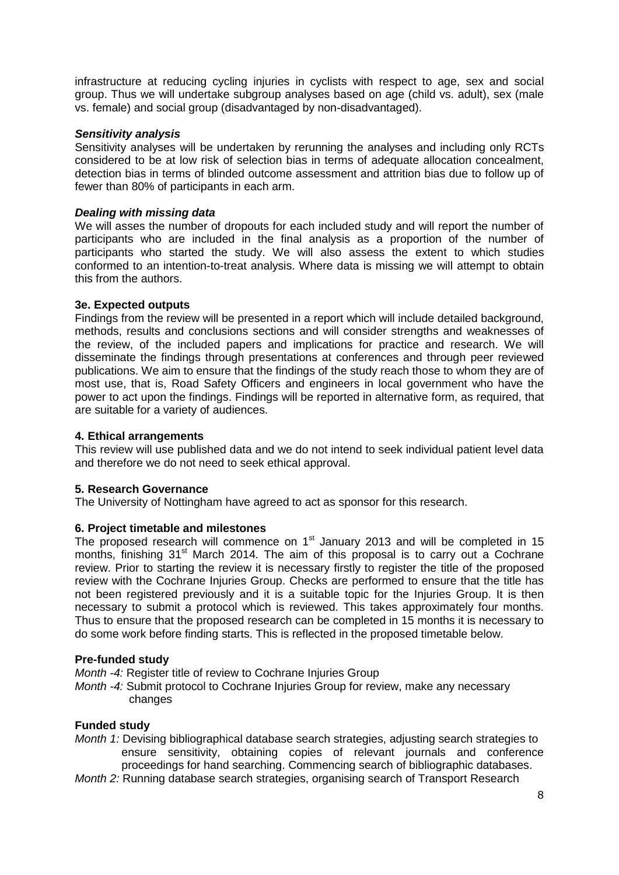infrastructure at reducing cycling injuries in cyclists with respect to age, sex and social group. Thus we will undertake subgroup analyses based on age (child vs. adult), sex (male vs. female) and social group (disadvantaged by non-disadvantaged).

#### *Sensitivity analysis*

Sensitivity analyses will be undertaken by rerunning the analyses and including only RCTs considered to be at low risk of selection bias in terms of adequate allocation concealment, detection bias in terms of blinded outcome assessment and attrition bias due to follow up of fewer than 80% of participants in each arm.

#### *Dealing with missing data*

We will asses the number of dropouts for each included study and will report the number of participants who are included in the final analysis as a proportion of the number of participants who started the study. We will also assess the extent to which studies conformed to an intention-to-treat analysis. Where data is missing we will attempt to obtain this from the authors.

# **3e. Expected outputs**

Findings from the review will be presented in a report which will include detailed background, methods, results and conclusions sections and will consider strengths and weaknesses of the review, of the included papers and implications for practice and research. We will disseminate the findings through presentations at conferences and through peer reviewed publications. We aim to ensure that the findings of the study reach those to whom they are of most use, that is, Road Safety Officers and engineers in local government who have the power to act upon the findings. Findings will be reported in alternative form, as required, that are suitable for a variety of audiences.

#### **4. Ethical arrangements**

This review will use published data and we do not intend to seek individual patient level data and therefore we do not need to seek ethical approval.

# **5. Research Governance**

The University of Nottingham have agreed to act as sponsor for this research.

#### **6. Project timetable and milestones**

The proposed research will commence on  $1<sup>st</sup>$  January 2013 and will be completed in 15 months, finishing 31<sup>st</sup> March 2014. The aim of this proposal is to carry out a Cochrane review. Prior to starting the review it is necessary firstly to register the title of the proposed review with the Cochrane Injuries Group. Checks are performed to ensure that the title has not been registered previously and it is a suitable topic for the Injuries Group. It is then necessary to submit a protocol which is reviewed. This takes approximately four months. Thus to ensure that the proposed research can be completed in 15 months it is necessary to do some work before finding starts. This is reflected in the proposed timetable below.

#### **Pre-funded study**

*Month -4:* Register title of review to Cochrane Injuries Group

*Month -4:* Submit protocol to Cochrane Injuries Group for review, make any necessary changes

#### **Funded study**

- *Month 1:* Devising bibliographical database search strategies, adjusting search strategies to ensure sensitivity, obtaining copies of relevant journals and conference proceedings for hand searching. Commencing search of bibliographic databases.
- *Month 2:* Running database search strategies, organising search of Transport Research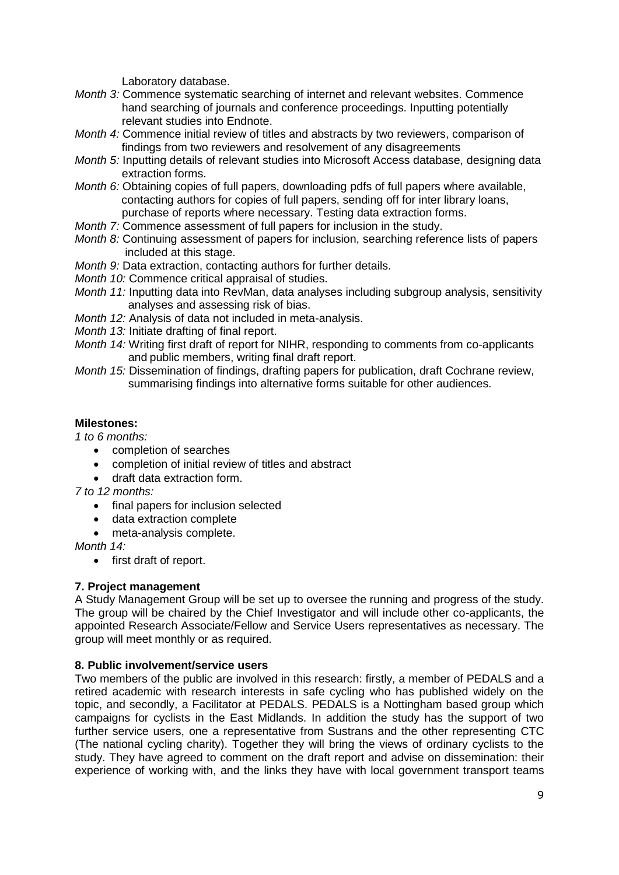Laboratory database.

- *Month 3:* Commence systematic searching of internet and relevant websites. Commence hand searching of journals and conference proceedings. Inputting potentially relevant studies into Endnote.
- *Month 4:* Commence initial review of titles and abstracts by two reviewers, comparison of findings from two reviewers and resolvement of any disagreements
- *Month 5:* Inputting details of relevant studies into Microsoft Access database, designing data extraction forms.
- *Month 6:* Obtaining copies of full papers, downloading pdfs of full papers where available, contacting authors for copies of full papers, sending off for inter library loans, purchase of reports where necessary. Testing data extraction forms.
- *Month 7:* Commence assessment of full papers for inclusion in the study.
- *Month 8:* Continuing assessment of papers for inclusion, searching reference lists of papers included at this stage.
- *Month 9:* Data extraction, contacting authors for further details.
- *Month 10:* Commence critical appraisal of studies.
- *Month 11:* Inputting data into RevMan, data analyses including subgroup analysis, sensitivity analyses and assessing risk of bias.
- *Month 12:* Analysis of data not included in meta-analysis.
- *Month 13:* Initiate drafting of final report.
- *Month 14:* Writing first draft of report for NIHR, responding to comments from co-applicants and public members, writing final draft report.
- *Month 15:* Dissemination of findings, drafting papers for publication, draft Cochrane review, summarising findings into alternative forms suitable for other audiences.

#### **Milestones:**

*1 to 6 months:* 

- completion of searches
- completion of initial review of titles and abstract
- draft data extraction form.

*7 to 12 months:* 

- final papers for inclusion selected
- data extraction complete
- meta-analysis complete.

*Month 14:*

• first draft of report.

# **7. Project management**

A Study Management Group will be set up to oversee the running and progress of the study. The group will be chaired by the Chief Investigator and will include other co-applicants, the appointed Research Associate/Fellow and Service Users representatives as necessary. The group will meet monthly or as required.

#### **8. Public involvement/service users**

Two members of the public are involved in this research: firstly, a member of PEDALS and a retired academic with research interests in safe cycling who has published widely on the topic, and secondly, a Facilitator at PEDALS. PEDALS is a Nottingham based group which campaigns for cyclists in the East Midlands. In addition the study has the support of two further service users, one a representative from Sustrans and the other representing CTC (The national cycling charity). Together they will bring the views of ordinary cyclists to the study. They have agreed to comment on the draft report and advise on dissemination: their experience of working with, and the links they have with local government transport teams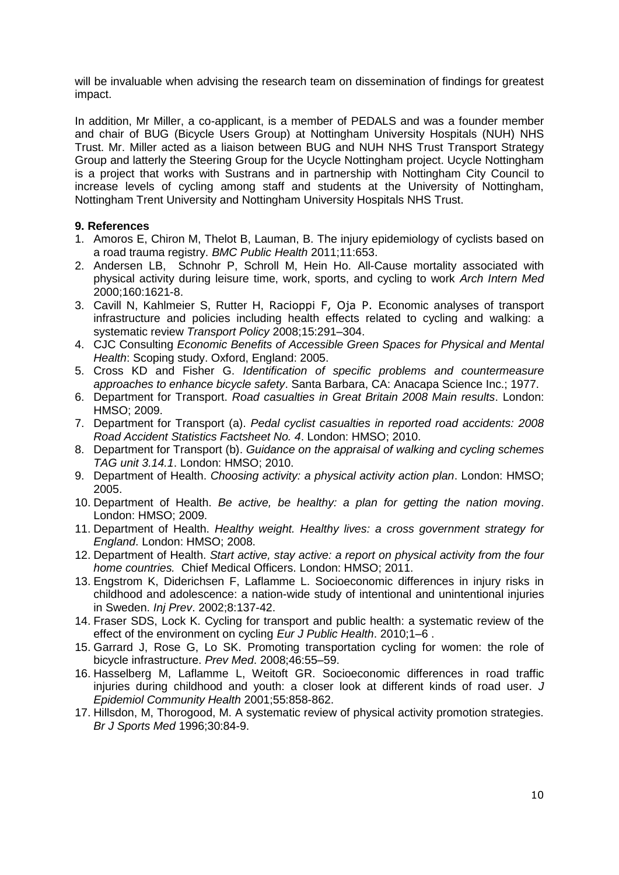will be invaluable when advising the research team on dissemination of findings for greatest impact.

In addition, Mr Miller, a co-applicant, is a member of PEDALS and was a founder member and chair of BUG (Bicycle Users Group) at Nottingham University Hospitals (NUH) NHS Trust. Mr. Miller acted as a liaison between BUG and NUH NHS Trust Transport Strategy Group and latterly the Steering Group for the Ucycle Nottingham project. Ucycle Nottingham is a project that works with Sustrans and in partnership with Nottingham City Council to increase levels of cycling among staff and students at the University of Nottingham, Nottingham Trent University and Nottingham University Hospitals NHS Trust.

# **9. References**

- 1. Amoros E, Chiron M, Thelot B, Lauman, B. The injury epidemiology of cyclists based on a road trauma registry. *BMC Public Health* 2011;11:653.
- 2. Andersen LB, Schnohr P, Schroll M, Hein Ho. All-Cause mortality associated with physical activity during leisure time, work, sports, and cycling to work *Arch Intern Med*  2000;160:1621-8.
- 3. Cavill N, Kahlmeier S, Rutter H, Racioppi F, Oja P. Economic analyses of transport infrastructure and policies including health effects related to cycling and walking: a systematic review *Transport Policy* 2008;15:291–304.
- 4. CJC Consulting *Economic Benefits of Accessible Green Spaces for Physical and Mental Health*: Scoping study. Oxford, England: 2005.
- 5. Cross KD and Fisher G. *Identification of specific problems and countermeasure approaches to enhance bicycle safety*. Santa Barbara, CA: Anacapa Science Inc.; 1977.
- 6. Department for Transport. *Road casualties in Great Britain 2008 Main results*. London: HMSO; 2009.
- 7. Department for Transport (a). *Pedal cyclist casualties in reported road accidents: 2008 Road Accident Statistics Factsheet No. 4*. London: HMSO; 2010.
- 8. Department for Transport (b). *Guidance on the appraisal of walking and cycling schemes TAG unit 3.14.1*. London: HMSO; 2010.
- 9. Department of Health. *Choosing activity: a physical activity action plan*. London: HMSO; 2005.
- 10. Department of Health. *Be active, be healthy: a plan for getting the nation moving*. London: HMSO; 2009.
- 11. Department of Health. *Healthy weight. Healthy lives: a cross government strategy for England*. London: HMSO; 2008.
- 12. Department of Health. *Start active, stay active: a report on physical activity from the four home countries.* Chief Medical Officers. London: HMSO; 2011.
- 13. Engstrom K, Diderichsen F, Laflamme L. Socioeconomic differences in injury risks in childhood and adolescence: a nation-wide study of intentional and unintentional injuries in Sweden. *Inj Prev*. 2002;8:137-42.
- 14. Fraser SDS, Lock K. Cycling for transport and public health: a systematic review of the effect of the environment on cycling *Eur J Public Health*. 2010;1–6 .
- 15. Garrard J, Rose G, Lo SK. Promoting transportation cycling for women: the role of bicycle infrastructure. *Prev Med*. 2008;46:55–59.
- 16. Hasselberg M, Laflamme L, Weitoft GR. Socioeconomic differences in road traffic injuries during childhood and youth: a closer look at different kinds of road user. *J Epidemiol Community Health* 2001;55:858-862.
- 17. Hillsdon, M, Thorogood, M. A systematic review of physical activity promotion strategies. *Br J Sports Med* 1996;30:84-9.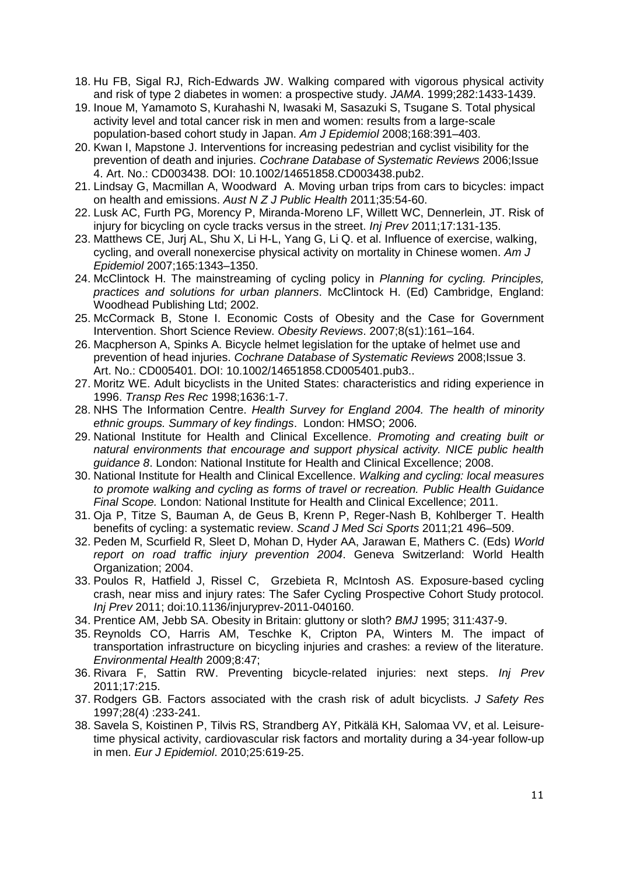- 18. [Hu](http://jama.ama-assn.org/search?author1=Frank+B.+Hu&sortspec=date&submit=Submit) FB, Sigal RJ, Rich-Edwards JW. Walking compared with vigorous physical activity and risk of type 2 diabetes in women: a prospective study. *JAMA*. 1999;282:1433-1439.
- 19. Inoue M, Yamamoto S, Kurahashi N, Iwasaki M, Sasazuki S, Tsugane S. Total physical activity level and total cancer risk in men and women: results from a large-scale population-based cohort study in Japan. *Am J Epidemiol* 2008;168:391–403.
- 20. Kwan I, Mapstone J. Interventions for increasing pedestrian and cyclist visibility for the prevention of death and injuries. *Cochrane Database of Systematic Reviews* 2006;Issue 4. Art. No.: CD003438. DOI: 10.1002/14651858.CD003438.pub2.
- 21. Lindsay G, Macmillan A, Woodward A. Moving urban trips from cars to bicycles: impact on health and emissions. *Aust N Z J Public Health* 2011;35:54-60.
- 22. Lusk AC, Furth PG, Morency P, Miranda-Moreno LF, Willett WC, Dennerlein, JT. Risk of injury for bicycling on cycle tracks versus in the street. *Inj Prev* 2011;17:131-135.
- 23. Matthews CE, Jurj AL, Shu X, Li H-L, Yang G, Li Q. et al. Influence of exercise, walking, cycling, and overall nonexercise physical activity on mortality in Chinese women. *Am J Epidemiol* 2007;165:1343–1350.
- 24. McClintock H. The mainstreaming of cycling policy in *Planning for cycling. Principles, practices and solutions for urban planners*. McClintock H. (Ed) Cambridge, England: Woodhead Publishing Ltd; 2002.
- 25. McCormack B, Stone I. Economic Costs of Obesity and the Case for Government Intervention. Short Science Review. *Obesity Reviews*. 2007;8(s1):161–164.
- 26. Macpherson A, Spinks A. Bicycle helmet legislation for the uptake of helmet use and prevention of head injuries. *Cochrane Database of Systematic Reviews* 2008;Issue 3. Art. No.: CD005401. DOI: 10.1002/14651858.CD005401.pub3..
- 27. Moritz WE. Adult bicyclists in the United States: characteristics and riding experience in 1996. *Transp Res Rec* 1998;1636:1-7.
- 28. NHS The Information Centre. *Health Survey for England 2004. The health of minority ethnic groups. Summary of key findings*. London: HMSO; 2006.
- 29. National Institute for Health and Clinical Excellence. *Promoting and creating built or natural environments that encourage and support physical activity. NICE public health guidance 8*. London: National Institute for Health and Clinical Excellence; 2008.
- 30. National Institute for Health and Clinical Excellence. *Walking and cycling: local measures to promote walking and cycling as forms of travel or recreation. Public Health Guidance Final Scope.* London: National Institute for Health and Clinical Excellence; 2011.
- 31. Oja P, Titze S, Bauman A, de Geus B, Krenn P, Reger-Nash B, Kohlberger T. Health benefits of cycling: a systematic review. *Scand J Med Sci Sports* 2011;21 496–509.
- 32. Peden M, Scurfield R, Sleet D, Mohan D, Hyder AA, Jarawan E, Mathers C. (Eds) *World report on road traffic injury prevention 2004*. Geneva Switzerland: World Health Organization; 2004.
- 33. Poulos R, Hatfield J, Rissel C, Grzebieta R, McIntosh AS. Exposure-based cycling crash, near miss and injury rates: The Safer Cycling Prospective Cohort Study protocol. *Inj Prev* 2011; doi:10.1136/injuryprev-2011-040160.
- 34. Prentice AM, Jebb SA. Obesity in Britain: gluttony or sloth? *BMJ* 1995; 311:437-9.
- 35. Reynolds CO, Harris AM, Teschke K, Cripton PA, Winters M. The impact of transportation infrastructure on bicycling injuries and crashes: a review of the literature. *Environmental Health* 2009;8:47;
- 36. Rivara F, Sattin RW. Preventing bicycle-related injuries: next steps. *Inj Prev*  2011;17:215.
- 37. Rodgers GB. Factors associated with the crash risk of adult bicyclists. *J Safety Res*  1997;28(4) :233-241.
- 38. Savela S, Koistinen P, Tilvis RS, Strandberg AY, Pitkälä KH, Salomaa VV, et al. Leisuretime physical activity, cardiovascular risk factors and mortality during a 34-year follow-up in men. *[Eur J Epidemiol](http://www.ncbi.nlm.nih.gov/pubmed/20574657)*. 2010;25:619-25.